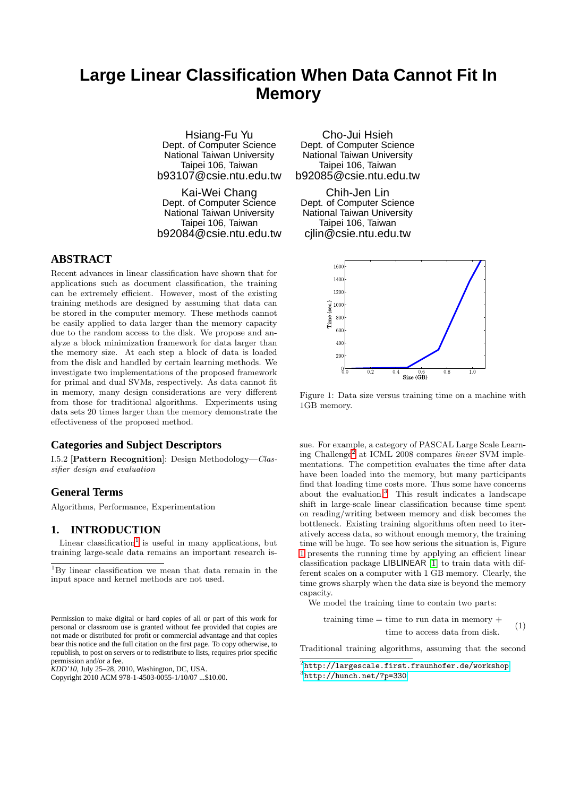# **Large Linear Classification When Data Cannot Fit In Memory**

Hsiang-Fu Yu Dept. of Computer Science National Taiwan University Taipei 106, Taiwan b93107@csie.ntu.edu.tw

Kai-Wei Chang Dept. of Computer Science National Taiwan University Taipei 106, Taiwan b92084@csie.ntu.edu.tw

## **ABSTRACT**

Recent advances in linear classification have shown that for applications such as document classification, the training can be extremely efficient. However, most of the existing training methods are designed by assuming that data can be stored in the computer memory. These methods cannot be easily applied to data larger than the memory capacity due to the random access to the disk. We propose and analyze a block minimization framework for data larger than the memory size. At each step a block of data is loaded from the disk and handled by certain learning methods. We investigate two implementations of the proposed framework for primal and dual SVMs, respectively. As data cannot fit in memory, many design considerations are very different from those for traditional algorithms. Experiments using data sets 20 times larger than the memory demonstrate the effectiveness of the proposed method.

## **Categories and Subject Descriptors**

I.5.2 [Pattern Recognition]: Design Methodology—*Classifier design and evaluation*

## **General Terms**

Algorithms, Performance, Experimentation

#### **1. INTRODUCTION**

Linear classification<sup>[1](#page-0-0)</sup> is useful in many applications, but training large-scale data remains an important research is-

*KDD'10,* July 25–28, 2010, Washington, DC, USA.

Cho-Jui Hsieh Dept. of Computer Science National Taiwan University Taipei 106, Taiwan b92085@csie.ntu.edu.tw

Chih-Jen Lin Dept. of Computer Science National Taiwan University Taipei 106, Taiwan cjlin@csie.ntu.edu.tw

<span id="page-0-3"></span>

Figure 1: Data size versus training time on a machine with 1GB memory.

sue. For example, a category of PASCAL Large Scale Learning Challenge[2](#page-0-1) at ICML 2008 compares *linear* SVM implementations. The competition evaluates the time after data have been loaded into the memory, but many participants find that loading time costs more. Thus some have concerns about the evaluation.[3](#page-0-2) This result indicates a landscape shift in large-scale linear classification because time spent on reading/writing between memory and disk becomes the bottleneck. Existing training algorithms often need to iteratively access data, so without enough memory, the training time will be huge. To see how serious the situation is, Figure [1](#page-0-3) presents the running time by applying an efficient linear classification package LIBLINEAR [\[1\]](#page-8-0) to train data with different scales on a computer with 1 GB memory. Clearly, the time grows sharply when the data size is beyond the memory capacity.

We model the training time to contain two parts:

training time  $=$  time to run data in memory  $+$ time to access data from disk. (1)

<span id="page-0-4"></span>Traditional training algorithms, assuming that the second

<span id="page-0-0"></span><sup>1</sup>By linear classification we mean that data remain in the input space and kernel methods are not used.

Permission to make digital or hard copies of all or part of this work for personal or classroom use is granted without fee provided that copies are not made or distributed for profit or commercial advantage and that copies bear this notice and the full citation on the first page. To copy otherwise, to republish, to post on servers or to redistribute to lists, requires prior specific permission and/or a fee.

Copyright 2010 ACM 978-1-4503-0055-1/10/07 ...\$10.00.

 $^2$ http:// $1$ argescale.first.fraunhofer.de/workshop

<span id="page-0-2"></span><span id="page-0-1"></span><sup>3</sup> <http://hunch.net/?p=330>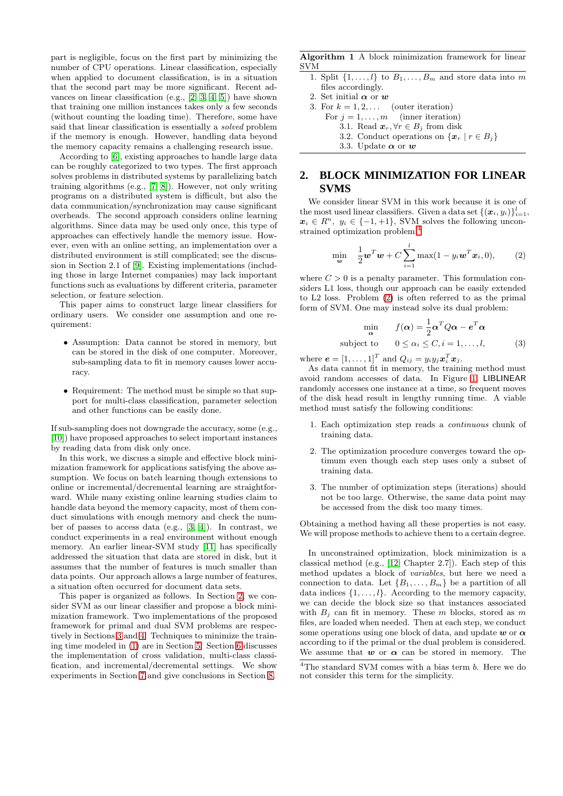part is negligible, focus on the first part by minimizing the number of CPU operations. Linear classification, especially when applied to document classification, is in a situation that the second part may be more significant. Recent advances on linear classification (e.g., [\[2,](#page-8-1) [3,](#page-8-2) [4,](#page-8-3) [5\]](#page-8-4)) have shown that training one million instances takes only a few seconds (without counting the loading time). Therefore, some have said that linear classification is essentially a *solved* problem if the memory is enough. However, handling data beyond the memory capacity remains a challenging research issue.

According to [\[6\]](#page-8-5), existing approaches to handle large data can be roughly categorized to two types. The first approach solves problems in distributed systems by parallelizing batch training algorithms (e.g., [\[7,](#page-8-6) [8\]](#page-8-7)). However, not only writing programs on a distributed system is difficult, but also the data communication/synchronization may cause significant overheads. The second approach considers online learning algorithms. Since data may be used only once, this type of approaches can effectively handle the memory issue. However, even with an online setting, an implementation over a distributed environment is still complicated; see the discussion in Section 2.1 of [\[9\]](#page-8-8). Existing implementations (including those in large Internet companies) may lack important functions such as evaluations by different criteria, parameter selection, or feature selection.

This paper aims to construct large linear classifiers for ordinary users. We consider one assumption and one requirement:

- Assumption: Data cannot be stored in memory, but can be stored in the disk of one computer. Moreover, sub-sampling data to fit in memory causes lower accuracy.
- Requirement: The method must be simple so that support for multi-class classification, parameter selection and other functions can be easily done.

If sub-sampling does not downgrade the accuracy, some (e.g., [\[10\]](#page-8-9)) have proposed approaches to select important instances by reading data from disk only once.

In this work, we discuss a simple and effective block minimization framework for applications satisfying the above assumption. We focus on batch learning though extensions to online or incremental/decremental learning are straightforward. While many existing online learning studies claim to handle data beyond the memory capacity, most of them conduct simulations with enough memory and check the number of passes to access data (e.g., [\[3,](#page-8-2) [4\]](#page-8-3)). In contrast, we conduct experiments in a real environment without enough memory. An earlier linear-SVM study [\[11\]](#page-8-10) has specifically addressed the situation that data are stored in disk, but it assumes that the number of features is much smaller than data points. Our approach allows a large number of features, a situation often occurred for document data sets.

This paper is organized as follows. In Section [2,](#page-1-0) we consider SVM as our linear classifier and propose a block minimization framework. Two implementations of the proposed framework for primal and dual SVM problems are respectively in Sections [3](#page-2-0) and [4.](#page-3-0) Techniques to minimize the training time modeled in [\(1\)](#page-0-4) are in Section [5.](#page-4-0) Section [6](#page-4-1) discusses the implementation of cross validation, multi-class classification, and incremental/decremental settings. We show experiments in Section [7](#page-5-0) and give conclusions in Section [8.](#page-7-0)

<span id="page-1-3"></span>Algorithm 1 A block minimization framework for linear SVM

- 1. Split  $\{1, \ldots, l\}$  to  $B_1, \ldots, B_m$  and store data into m files accordingly.
- 2. Set initial  $\pmb{\alpha}$  or  $\pmb{w}$
- <span id="page-1-5"></span>3. For  $k = 1, 2, \ldots$  (outer iteration)
	- For  $j = 1, \ldots, m$  (inner iteration)
		- 3.1. Read  $\boldsymbol{x}_r, \forall r \in B_i$  from disk
		- 3.2. Conduct operations on  $\{x_r \mid r \in B_j\}$

<span id="page-1-6"></span>3.3. Update  $\alpha$  or  $w$ 

# <span id="page-1-0"></span>**2. BLOCK MINIMIZATION FOR LINEAR SVMS**

We consider linear SVM in this work because it is one of the most used linear classifiers. Given a data set  $\{(\boldsymbol{x}_i, y_i)\}_{i=1}^l$ ,  $x_i \in R^n$ ,  $y_i \in \{-1, +1\}$ , SVM solves the following unconstrained optimization problem:[4](#page-1-1)

<span id="page-1-2"></span>
$$
\min_{\boldsymbol{w}} \quad \frac{1}{2} \boldsymbol{w}^T \boldsymbol{w} + C \sum_{i=1}^l \max(1 - y_i \boldsymbol{w}^T \boldsymbol{x}_i, 0), \qquad (2)
$$

where  $C > 0$  is a penalty parameter. This formulation considers L1 loss, though our approach can be easily extended to L2 loss. Problem [\(2\)](#page-1-2) is often referred to as the primal form of SVM. One may instead solve its dual problem:

<span id="page-1-4"></span>
$$
\min_{\mathbf{\alpha}} \qquad f(\mathbf{\alpha}) = \frac{1}{2} \mathbf{\alpha}^T Q \mathbf{\alpha} - \mathbf{e}^T \mathbf{\alpha}
$$
\nsubject to 
$$
0 \le \alpha_i \le C, i = 1, \dots, l,
$$
 (3)

where  $\mathbf{e} = [1, \dots, 1]^T$  and  $Q_{ij} = y_i y_j \boldsymbol{x}_i^T \boldsymbol{x}_j$ .

As data cannot fit in memory, the training method must avoid random accesses of data. In Figure [1,](#page-0-3) LIBLINEAR randomly accesses one instance at a time, so frequent moves of the disk head result in lengthy running time. A viable method must satisfy the following conditions:

- 1. Each optimization step reads a *continuous* chunk of training data.
- <span id="page-1-7"></span>2. The optimization procedure converges toward the optimum even though each step uses only a subset of training data.
- <span id="page-1-8"></span>3. The number of optimization steps (iterations) should not be too large. Otherwise, the same data point may be accessed from the disk too many times.

Obtaining a method having all these properties is not easy. We will propose methods to achieve them to a certain degree.

In unconstrained optimization, block minimization is a classical method (e.g., [\[12,](#page-8-11) Chapter 2.7]). Each step of this method updates a block of *variables*, but here we need a connection to data. Let  $\{B_1, \ldots, B_m\}$  be a partition of all data indices  $\{1, \ldots, l\}$ . According to the memory capacity, we can decide the block size so that instances associated with  $B_i$  can fit in memory. These m blocks, stored as m files, are loaded when needed. Then at each step, we conduct some operations using one block of data, and update w or  $\alpha$ according to if the primal or the dual problem is considered. We assume that  $w$  or  $\alpha$  can be stored in memory. The

<span id="page-1-1"></span> $4$ The standard SVM comes with a bias term  $b$ . Here we do not consider this term for the simplicity.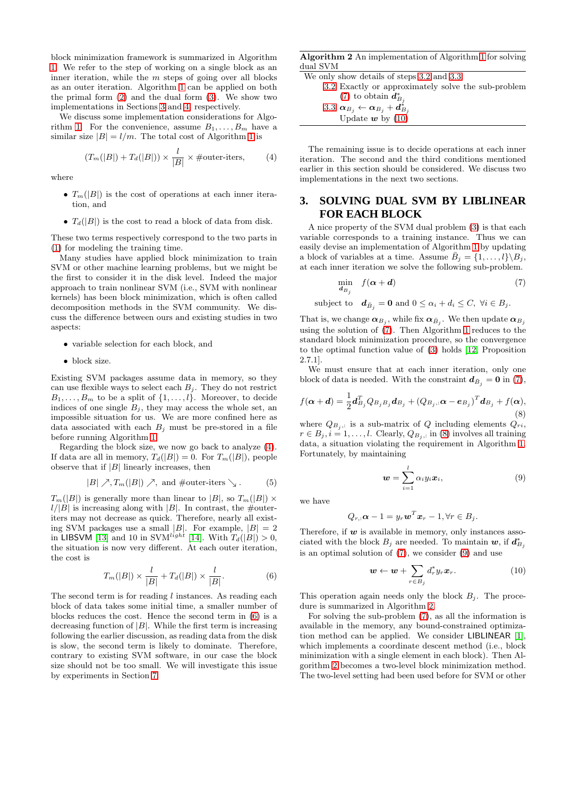block minimization framework is summarized in Algorithm [1.](#page-1-3) We refer to the step of working on a single block as an inner iteration, while the  $m$  steps of going over all blocks as an outer iteration. Algorithm [1](#page-1-3) can be applied on both the primal form [\(2\)](#page-1-2) and the dual form [\(3\)](#page-1-4). We show two implementations in Sections [3](#page-2-0) and [4,](#page-3-0) respectively.

We discuss some implementation considerations for Algo-rithm [1.](#page-1-3) For the convenience, assume  $B_1, \ldots, B_m$  have a similar size  $|B| = l/m$ . The total cost of Algorithm [1](#page-1-3) is

<span id="page-2-1"></span>
$$
(T_m(|B|) + T_d(|B|)) \times \frac{l}{|B|} \times \text{\#outer-iters}, \tag{4}
$$

where

- $T_m(|B|)$  is the cost of operations at each inner iteration, and
- $T_d(|B|)$  is the cost to read a block of data from disk.

These two terms respectively correspond to the two parts in [\(1\)](#page-0-4) for modeling the training time.

Many studies have applied block minimization to train SVM or other machine learning problems, but we might be the first to consider it in the disk level. Indeed the major approach to train nonlinear SVM (i.e., SVM with nonlinear kernels) has been block minimization, which is often called decomposition methods in the SVM community. We discuss the difference between ours and existing studies in two aspects:

- variable selection for each block, and
- block size.

Existing SVM packages assume data in memory, so they can use flexible ways to select each  $B_j$ . They do not restrict  $B_1, \ldots, B_m$  to be a split of  $\{1, \ldots, l\}$ . Moreover, to decide indices of one single  $B_j$ , they may access the whole set, an impossible situation for us. We are more confined here as data associated with each  $B_i$  must be pre-stored in a file before running Algorithm [1.](#page-1-3)

Regarding the block size, we now go back to analyze [\(4\)](#page-2-1). If data are all in memory,  $T_d(|B|) = 0$ . For  $T_m(|B|)$ , people observe that if  $|B|$  linearly increases, then

<span id="page-2-8"></span>
$$
|B| \nearrow, T_m(|B|) \nearrow, \text{ and #outer-iters } \searrow. \qquad (5)
$$

 $T_m(|B|)$  is generally more than linear to  $|B|$ , so  $T_m(|B|) \times$  $l/|B|$  is increasing along with |B|. In contrast, the #outeriters may not decrease as quick. Therefore, nearly all existing SVM packages use a small  $|B|$ . For example,  $|B| = 2$ in LIBSVM [\[13\]](#page-8-12) and 10 in SV $M^{light}$  [\[14\]](#page-8-13). With  $T_d(|B|) > 0$ , the situation is now very different. At each outer iteration, the cost is

<span id="page-2-2"></span>
$$
T_m(|B|) \times \frac{l}{|B|} + T_d(|B|) \times \frac{l}{|B|}.
$$
 (6)

The second term is for reading l instances. As reading each block of data takes some initial time, a smaller number of blocks reduces the cost. Hence the second term in [\(6\)](#page-2-2) is a decreasing function of  $|B|$ . While the first term is increasing following the earlier discussion, as reading data from the disk is slow, the second term is likely to dominate. Therefore, contrary to existing SVM software, in our case the block size should not be too small. We will investigate this issue by experiments in Section [7.](#page-5-0)

<span id="page-2-7"></span>Algorithm 2 An implementation of Algorithm [1](#page-1-3) for solving dual SVM

| We only show details of steps 3.2 and 3.3:             |
|--------------------------------------------------------|
| 3.2 Exactly or approximately solve the sub-problem     |
| $(7)$ to obtain $d_{B_i}^*$                            |
| 3.3 $\alpha_{B_i} \leftarrow \alpha_{B_i} + d_{B_i}^*$ |
| Update $w$ by (10)                                     |

The remaining issue is to decide operations at each inner iteration. The second and the third conditions mentioned earlier in this section should be considered. We discuss two implementations in the next two sections.

## <span id="page-2-0"></span>**3. SOLVING DUAL SVM BY LIBLINEAR FOR EACH BLOCK**

A nice property of the SVM dual problem [\(3\)](#page-1-4) is that each variable corresponds to a training instance. Thus we can easily devise an implementation of Algorithm [1](#page-1-3) by updating a block of variables at a time. Assume  $\overline{B}_i = \{1, \ldots, l\} \backslash B_i$ , at each inner iteration we solve the following sub-problem.

<span id="page-2-3"></span>
$$
\min_{\mathbf{d}_{B_j}} f(\boldsymbol{\alpha} + \mathbf{d}) \tag{7}
$$

subject to  $\boldsymbol{d}_{\bar{B}_j} = \mathbf{0}$  and  $0 \leq \alpha_i + d_i \leq C, \ \forall i \in B_j$ .

That is, we change  $\alpha_{B_j}$ , while fix  $\alpha_{\bar{B}_j}$ . We then update  $\alpha_{B_j}$ using the solution of [\(7\)](#page-2-3). Then Algorithm [1](#page-1-3) reduces to the standard block minimization procedure, so the convergence to the optimal function value of [\(3\)](#page-1-4) holds [\[12,](#page-8-11) Proposition 2.7.1].

We must ensure that at each inner iteration, only one block of data is needed. With the constraint  $\mathbf{d}_{\bar{B}_j} = \mathbf{0}$  in [\(7\)](#page-2-3),

<span id="page-2-5"></span>
$$
f(\boldsymbol{\alpha} + \boldsymbol{d}) = \frac{1}{2} \boldsymbol{d}_{B_j}^T Q_{B_j B_j} \boldsymbol{d}_{B_j} + (Q_{B_j,:} \boldsymbol{\alpha} - \boldsymbol{e}_{B_j})^T \boldsymbol{d}_{B_j} + f(\boldsymbol{\alpha}),
$$
\n(8)

where  $Q_{B_j}$  is a sub-matrix of Q including elements  $Q_{ri}$ ,  $r \in B_j, i = 1, \ldots, l$ . Clearly,  $Q_{B_j,:}$  in [\(8\)](#page-2-5) involves all training data, a situation violating the requirement in Algorithm [1.](#page-1-3) Fortunately, by maintaining

<span id="page-2-6"></span>
$$
\boldsymbol{w} = \sum_{i=1}^{l} \alpha_i y_i \boldsymbol{x}_i, \tag{9}
$$

we have

$$
Q_{r,:}\boldsymbol{\alpha}-1=y_r\boldsymbol{w}^T\boldsymbol{x}_r-1,\forall r\in B_j.
$$

Therefore, if  $w$  is available in memory, only instances associated with the block  $B_j$  are needed. To maintain  $\boldsymbol{w}$ , if  $\boldsymbol{d}_{B_j}^*$ is an optimal solution of [\(7\)](#page-2-3), we consider [\(9\)](#page-2-6) and use

<span id="page-2-4"></span>
$$
\mathbf{w} \leftarrow \mathbf{w} + \sum_{r \in B_j} d_r^* y_r \mathbf{x}_r. \tag{10}
$$

This operation again needs only the block  $B_i$ . The procedure is summarized in Algorithm [2.](#page-2-7)

For solving the sub-problem [\(7\)](#page-2-3), as all the information is available in the memory, any bound-constrained optimization method can be applied. We consider LIBLINEAR [\[1\]](#page-8-0), which implements a coordinate descent method (i.e., block minimization with a single element in each block). Then Algorithm [2](#page-2-7) becomes a two-level block minimization method. The two-level setting had been used before for SVM or other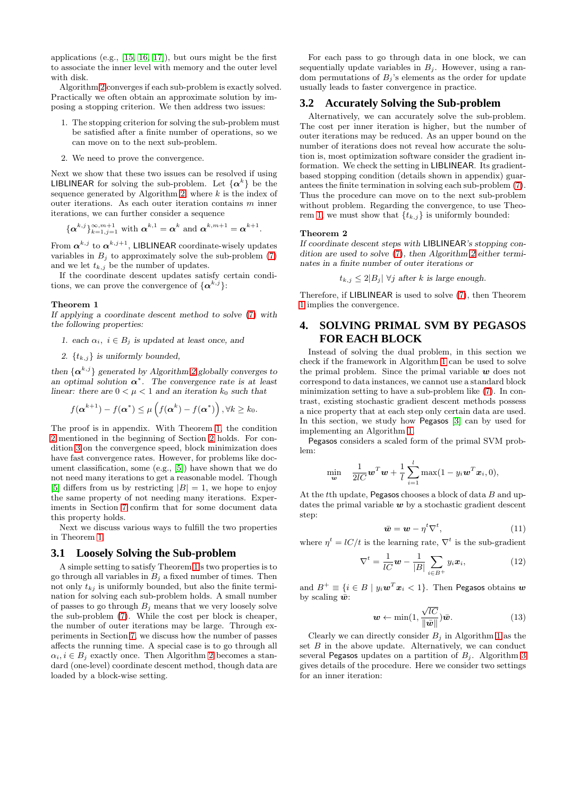applications (e.g., [\[15,](#page-8-14) [16,](#page-8-15) [17\]](#page-8-16)), but ours might be the first to associate the inner level with memory and the outer level with disk.

Algorithm [2](#page-2-7) converges if each sub-problem is exactly solved. Practically we often obtain an approximate solution by imposing a stopping criterion. We then address two issues:

- 1. The stopping criterion for solving the sub-problem must be satisfied after a finite number of operations, so we can move on to the next sub-problem.
- 2. We need to prove the convergence.

Next we show that these two issues can be resolved if using **LIBLINEAR** for solving the sub-problem. Let  $\{\alpha^k\}$  be the sequence generated by Algorithm [2,](#page-2-7) where  $k$  is the index of outer iterations. As each outer iteration contains m inner iterations, we can further consider a sequence

$$
\{\boldsymbol{\alpha}^{k,j}\}_{k=1,j=1}^{\infty,m+1}
$$
 with  $\boldsymbol{\alpha}^{k,1}=\boldsymbol{\alpha}^k$  and  $\boldsymbol{\alpha}^{k,m+1}=\boldsymbol{\alpha}^{k+1}$ .

From  $\boldsymbol{\alpha}^{k,j}$  to  $\boldsymbol{\alpha}^{k,j+1}$ , LIBLINEAR coordinate-wisely updates variables in  $B_j$  to approximately solve the sub-problem [\(7\)](#page-2-3) and we let  $t_{k,j}$  be the number of updates.

If the coordinate descent updates satisfy certain conditions, we can prove the convergence of  $\{\boldsymbol{\alpha}^{k,j}\}$ :

#### Theorem 1

*If applying a coordinate descent method to solve* [\(7\)](#page-2-3) *with the following properties:*

- *1. each*  $\alpha_i$ ,  $i \in B_j$  *is updated at least once, and*
- 2.  $\{t_{k,j}\}\$ is uniformly bounded,

*then*  $\{\boldsymbol{\alpha}^{k,j}\}$  *generated by Algorithm [2](#page-2-7) globally converges to an optimal solution*  $\boldsymbol{\alpha}^*$ . The convergence rate is at least *linear:* there are  $0 < \mu < 1$  *and an iteration*  $k_0$  *such that* 

$$
f(\boldsymbol{\alpha}^{k+1}) - f(\boldsymbol{\alpha}^*) \leq \mu\left(f(\boldsymbol{\alpha}^k) - f(\boldsymbol{\alpha}^*)\right), \forall k \geq k_0.
$$

The proof is in appendix. With Theorem [1,](#page-3-1) the condition [2](#page-1-7) mentioned in the beginning of Section [2](#page-1-0) holds. For condition [3](#page-1-8) on the convergence speed, block minimization does have fast convergence rates. However, for problems like document classification, some (e.g., [\[5\]](#page-8-4)) have shown that we do not need many iterations to get a reasonable model. Though [\[5\]](#page-8-4) differs from us by restricting  $|B| = 1$ , we hope to enjoy the same property of not needing many iterations. Experiments in Section [7](#page-5-0) confirm that for some document data this property holds.

Next we discuss various ways to fulfill the two properties in Theorem [1.](#page-3-1)

#### **3.1 Loosely Solving the Sub-problem**

A simple setting to satisfy Theorem [1'](#page-3-1)s two properties is to go through all variables in  $B_i$  a fixed number of times. Then not only  $t_{ki}$  is uniformly bounded, but also the finite termination for solving each sub-problem holds. A small number of passes to go through  $B_i$  means that we very loosely solve the sub-problem [\(7\)](#page-2-3). While the cost per block is cheaper, the number of outer iterations may be large. Through experiments in Section [7,](#page-5-0) we discuss how the number of passes affects the running time. A special case is to go through all  $\alpha_i, i \in B_i$  exactly once. Then Algorithm [2](#page-2-7) becomes a standard (one-level) coordinate descent method, though data are loaded by a block-wise setting.

For each pass to go through data in one block, we can sequentially update variables in  $B_i$ . However, using a random permutations of  $B_i$ 's elements as the order for update usually leads to faster convergence in practice.

#### **3.2 Accurately Solving the Sub-problem**

Alternatively, we can accurately solve the sub-problem. The cost per inner iteration is higher, but the number of outer iterations may be reduced. As an upper bound on the number of iterations does not reveal how accurate the solution is, most optimization software consider the gradient information. We check the setting in LIBLINEAR. Its gradientbased stopping condition (details shown in appendix) guarantees the finite termination in solving each sub-problem [\(7\)](#page-2-3). Thus the procedure can move on to the next sub-problem without problem. Regarding the convergence, to use Theo-rem [1,](#page-3-1) we must show that  $\{t_{k,j}\}$  is uniformly bounded:

#### Theorem 2

min

*If coordinate descent steps with* LIBLINEAR*'s stopping condition are used to solve* [\(7\)](#page-2-3)*, then Algorithm [2](#page-2-7) either terminates in a finite number of outer iterations or*

<span id="page-3-4"></span>
$$
t_{k,j} \le 2|B_j| \ \forall j \ \text{after} \ k \ \text{is large enough.}
$$

<span id="page-3-1"></span>Therefore, if LIBLINEAR is used to solve [\(7\)](#page-2-3), then Theorem [1](#page-3-1) implies the convergence.

# <span id="page-3-0"></span>**4. SOLVING PRIMAL SVM BY PEGASOS FOR EACH BLOCK**

Instead of solving the dual problem, in this section we check if the framework in Algorithm [1](#page-1-3) can be used to solve the primal problem. Since the primal variable  $w$  does not correspond to data instances, we cannot use a standard block minimization setting to have a sub-problem like [\(7\)](#page-2-3). In contrast, existing stochastic gradient descent methods possess a nice property that at each step only certain data are used. In this section, we study how Pegasos [\[3\]](#page-8-2) can by used for implementing an Algorithm [1.](#page-1-3)

Pegasos considers a scaled form of the primal SVM problem:

$$
\min_{\boldsymbol{w}} \quad \frac{1}{2lC} \boldsymbol{w}^T \boldsymbol{w} + \frac{1}{l} \sum_{i=1}^l \max(1 - y_i \boldsymbol{w}^T \boldsymbol{x}_i, 0),
$$

At the tth update, Pegasos chooses a block of data  $B$  and updates the primal variable  $w$  by a stochastic gradient descent step:

<span id="page-3-2"></span>
$$
\bar{\boldsymbol{w}} = \boldsymbol{w} - \eta^t \nabla^t,\tag{11}
$$

where  $\eta^t = lC/t$  is the learning rate,  $\nabla^t$  is the sub-gradient

$$
\nabla^t = \frac{1}{lC} \mathbf{w} - \frac{1}{|B|} \sum_{i \in B^+} y_i \mathbf{x}_i, \tag{12}
$$

and  $B^+ \equiv \{i \in B \mid y_i \boldsymbol{w}^T \boldsymbol{x}_i < 1\}$ . Then Pegasos obtains  $\boldsymbol{w}$ by scaling  $\bar{w}$ :

<span id="page-3-3"></span>
$$
\mathbf{w} \leftarrow \min(1, \frac{\sqrt{lC}}{\|\bar{\mathbf{w}}\|})\bar{\mathbf{w}}.\tag{13}
$$

Clearly we can directly consider  $B_i$  in Algorithm [1](#page-1-3) as the set  $B$  in the above update. Alternatively, we can conduct several Pegasos updates on a partition of  $B_i$ . Algorithm [3](#page-4-2) gives details of the procedure. Here we consider two settings for an inner iteration: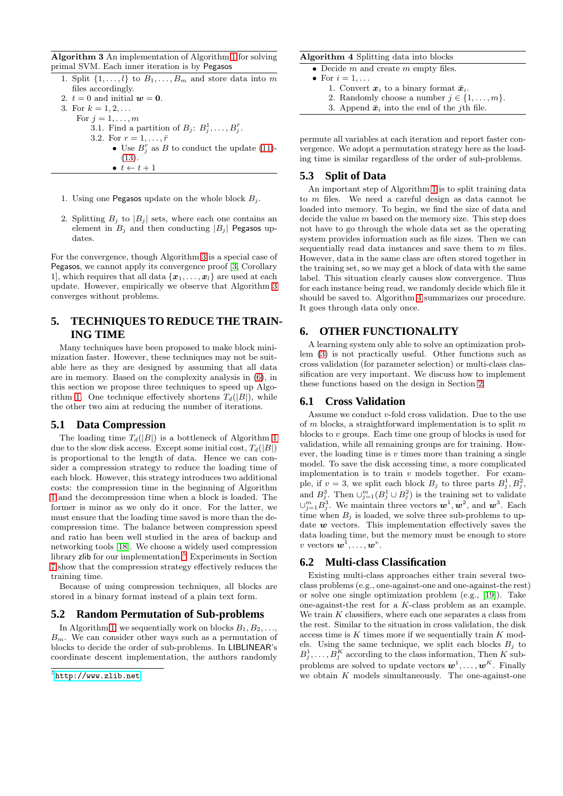<span id="page-4-2"></span>Algorithm 3 An implementation of Algorithm [1](#page-1-3) for solving primal SVM. Each inner iteration is by Pegasos

- 1. Split  $\{1, \ldots, l\}$  to  $B_1, \ldots, B_m$  and store data into m files accordingly.
- 2.  $t = 0$  and initial  $w = 0$ .
- 3. For  $k = 1, 2, ...$
- For  $j = 1, \ldots, m$ 
	- 3.1. Find a partition of  $B_j: B_j^1, \ldots, B_j^{\bar{r}}$ . 3.2. For  $r = 1, \ldots, \bar{r}$ • Use  $B_j^r$  as B to conduct the update [\(11\)](#page-3-2)-[\(13\)](#page-3-3).  $\bullet\ \ t \leftarrow t + 1$
- 1. Using one Pegasos update on the whole block  $B_i$ .
- 2. Splitting  $B_i$  to  $|B_i|$  sets, where each one contains an element in  $B_j$  and then conducting  $|B_j|$  Pegasos updates.

For the convergence, though Algorithm [3](#page-4-2) is a special case of Pegasos, we cannot apply its convergence proof [\[3,](#page-8-2) Corollary 1, which requires that all data  $\{\boldsymbol{x}_1, \ldots, \boldsymbol{x}_l\}$  are used at each update. However, empirically we observe that Algorithm [3](#page-4-2) converges without problems.

# <span id="page-4-0"></span>**5. TECHNIQUES TO REDUCE THE TRAIN-ING TIME**

Many techniques have been proposed to make block minimization faster. However, these techniques may not be suitable here as they are designed by assuming that all data are in memory. Based on the complexity analysis in [\(6\)](#page-2-2), in this section we propose three techniques to speed up Algo-rithm [1.](#page-1-3) One technique effectively shortens  $T_d(|B|)$ , while the other two aim at reducing the number of iterations.

#### **5.1 Data Compression**

The loading time  $T_d(|B|)$  is a bottleneck of Algorithm [1](#page-1-3) due to the slow disk access. Except some initial cost,  $T_d(|B|)$ is proportional to the length of data. Hence we can consider a compression strategy to reduce the loading time of each block. However, this strategy introduces two additional costs: the compression time in the beginning of Algorithm [1](#page-1-3) and the decompression time when a block is loaded. The former is minor as we only do it once. For the latter, we must ensure that the loading time saved is more than the decompression time. The balance between compression speed and ratio has been well studied in the area of backup and networking tools [\[18\]](#page-8-17). We choose a widely used compression library zlib for our implementation.[5](#page-4-3) Experiments in Section [7](#page-5-0) show that the compression strategy effectively reduces the training time.

Because of using compression techniques, all blocks are stored in a binary format instead of a plain text form.

#### **5.2 Random Permutation of Sub-problems**

In Algorithm [1,](#page-1-3) we sequentially work on blocks  $B_1, B_2, \ldots$ ,  $B_m$ . We can consider other ways such as a permutation of blocks to decide the order of sub-problems. In LIBLINEAR's coordinate descent implementation, the authors randomly

#### <span id="page-4-4"></span>Algorithm 4 Splitting data into blocks

- Decide  $m$  and create  $m$  empty files.
- For  $i = 1, \ldots$ 
	- 1. Convert  $\boldsymbol{x}_i$  to a binary format  $\bar{\boldsymbol{x}}_i$ .
	- 2. Randomly choose a number  $j \in \{1, \ldots, m\}$ .
	- 3. Append  $\bar{x}_i$  into the end of the *j*th file.

permute all variables at each iteration and report faster convergence. We adopt a permutation strategy here as the loading time is similar regardless of the order of sub-problems.

#### **5.3 Split of Data**

An important step of Algorithm [1](#page-1-3) is to split training data to m files. We need a careful design as data cannot be loaded into memory. To begin, we find the size of data and decide the value  $m$  based on the memory size. This step does not have to go through the whole data set as the operating system provides information such as file sizes. Then we can sequentially read data instances and save them to  $m$  files. However, data in the same class are often stored together in the training set, so we may get a block of data with the same label. This situation clearly causes slow convergence. Thus for each instance being read, we randomly decide which file it should be saved to. Algorithm [4](#page-4-4) summarizes our procedure. It goes through data only once.

# <span id="page-4-1"></span>**6. OTHER FUNCTIONALITY**

A learning system only able to solve an optimization problem [\(3\)](#page-1-4) is not practically useful. Other functions such as cross validation (for parameter selection) or multi-class classification are very important. We discuss how to implement these functions based on the design in Section [2.](#page-1-0)

#### **6.1 Cross Validation**

Assume we conduct v-fold cross validation. Due to the use of  $m$  blocks, a straightforward implementation is to split  $m$ blocks to v groups. Each time one group of blocks is used for validation, while all remaining groups are for training. However, the loading time is  $v$  times more than training a single model. To save the disk accessing time, a more complicated implementation is to train  $v$  models together. For example, if  $v = 3$ , we split each block  $B_j$  to three parts  $B_j^1, B_j^2$ , and  $B_j^3$ . Then  $\cup_{j=1}^m (B_j^1 \cup B_j^2)$  is the training set to validate  $\cup_{j=1}^m B_j^3$ . We maintain three vectors  $\mathbf{w}^1, \mathbf{w}^2$ , and  $\mathbf{w}^3$ . Each time when  $B_i$  is loaded, we solve three sub-problems to update  $w$  vectors. This implementation effectively saves the data loading time, but the memory must be enough to store v vectors  $\boldsymbol{w}^1,\ldots,\boldsymbol{w}^v.$ 

#### **6.2 Multi-class Classification**

Existing multi-class approaches either train several twoclass problems (e.g., one-against-one and one-against-the rest) or solve one single optimization problem (e.g., [\[19\]](#page-8-18)). Take one-against-the rest for a K-class problem as an example. We train  $K$  classifiers, where each one separates a class from the rest. Similar to the situation in cross validation, the disk access time is  $K$  times more if we sequentially train  $K$  models. Using the same technique, we split each blocks  $B_i$  to  $B_j^1, \ldots, B_j^K$  according to the class information, Then K subproblems are solved to update vectors  $w^1, \ldots, w^K$ . Finally we obtain  $K$  models simultaneously. The one-against-one

<span id="page-4-3"></span> $5$ <http://www.zlib.net>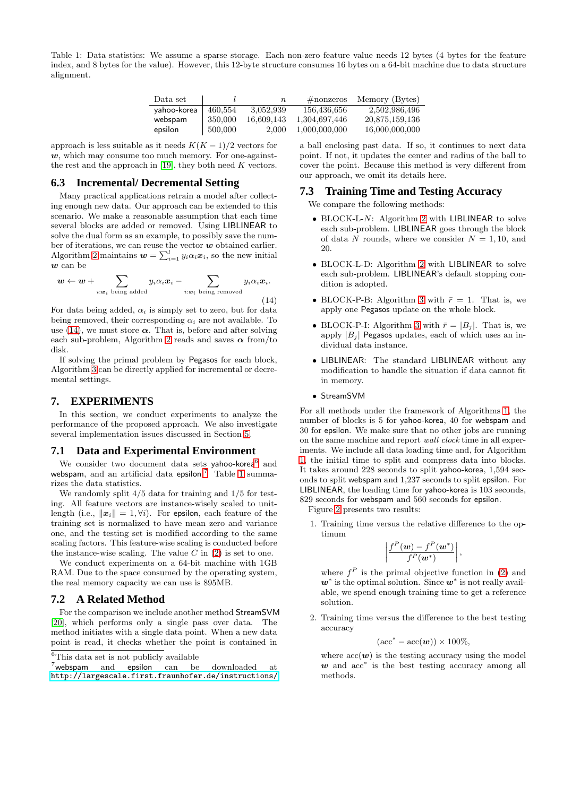<span id="page-5-4"></span>Table 1: Data statistics: We assume a sparse storage. Each non-zero feature value needs 12 bytes (4 bytes for the feature index, and 8 bytes for the value). However, this 12-byte structure consumes 16 bytes on a 64-bit machine due to data structure alignment.

| Data set    |         | $\,n$      | $\#$ nonzeros | Memory (Bytes) |
|-------------|---------|------------|---------------|----------------|
| vahoo-korea | 460,554 | 3,052,939  | 156,436,656   | 2,502,986,496  |
| webspam     | 350,000 | 16.609.143 | 1.304.697.446 | 20,875,159,136 |
| epsilon     | 500,000 | 2.000      | 1,000,000,000 | 16,000,000,000 |

approach is less suitable as it needs  $K(K-1)/2$  vectors for  $w$ , which may consume too much memory. For one-against-the rest and the approach in [\[19\]](#page-8-18), they both need  $K$  vectors.

## **6.3 Incremental/ Decremental Setting**

Many practical applications retrain a model after collecting enough new data. Our approach can be extended to this scenario. We make a reasonable assumption that each time several blocks are added or removed. Using LIBLINEAR to solve the dual form as an example, to possibly save the number of iterations, we can reuse the vector  $w$  obtained earlier. Algorithm [2](#page-2-7) maintains  $\mathbf{w} = \sum_{i=1}^{l} y_i \alpha_i \mathbf{x}_i$ , so the new initial  $w$  can be

<span id="page-5-1"></span>
$$
\boldsymbol{w} \leftarrow \boldsymbol{w} + \sum_{i: \boldsymbol{x}_i \text{ being added}} y_i \alpha_i \boldsymbol{x}_i - \sum_{i: \boldsymbol{x}_i \text{ being removed}} y_i \alpha_i \boldsymbol{x}_i.
$$
\n(14)

For data being added,  $\alpha_i$  is simply set to zero, but for data being removed, their corresponding  $\alpha_i$  are not available. To use [\(14\)](#page-5-1), we must store  $\alpha$ . That is, before and after solving each sub-problem, Algorithm [2](#page-2-7) reads and saves  $\alpha$  from/to disk.

If solving the primal problem by Pegasos for each block, Algorithm [3](#page-4-2) can be directly applied for incremental or decremental settings.

#### <span id="page-5-0"></span>**7. EXPERIMENTS**

In this section, we conduct experiments to analyze the performance of the proposed approach. We also investigate several implementation issues discussed in Section [5.](#page-4-0)

#### **7.1 Data and Experimental Environment**

We consider two document data sets yahoo-korea<sup>[6](#page-5-2)</sup> and webspam, and an artificial data epsilon.<sup>[7](#page-5-3)</sup> Table [1](#page-5-4) summarizes the data statistics.

We randomly split 4/5 data for training and 1/5 for testing. All feature vectors are instance-wisely scaled to unitlength (i.e.,  $\|\boldsymbol{x}_i\|=1, \forall i$ ). For epsilon, each feature of the training set is normalized to have mean zero and variance one, and the testing set is modified according to the same scaling factors. This feature-wise scaling is conducted before the instance-wise scaling. The value  $C$  in  $(2)$  is set to one.

We conduct experiments on a 64-bit machine with 1GB RAM. Due to the space consumed by the operating system, the real memory capacity we can use is 895MB.

#### **7.2 A Related Method**

For the comparison we include another method StreamSVM [\[20\]](#page-8-19), which performs only a single pass over data. The method initiates with a single data point. When a new data point is read, it checks whether the point is contained in

a ball enclosing past data. If so, it continues to next data point. If not, it updates the center and radius of the ball to cover the point. Because this method is very different from our approach, we omit its details here.

## **7.3 Training Time and Testing Accuracy**

We compare the following methods:

- BLOCK-L-N: Algorithm [2](#page-2-7) with LIBLINEAR to solve each sub-problem. LIBLINEAR goes through the block of data N rounds, where we consider  $N = 1, 10$ , and 20.
- BLOCK-L-D: Algorithm [2](#page-2-7) with LIBLINEAR to solve each sub-problem. LIBLINEAR's default stopping condition is adopted.
- BLOCK-P-B: Algorithm [3](#page-4-2) with  $\bar{r} = 1$ . That is, we apply one Pegasos update on the whole block.
- BLOCK-P-I: Algorithm [3](#page-4-2) with  $\bar{r} = |B_j|$ . That is, we apply  $|B_j|$  Pegasos updates, each of which uses an individual data instance.
- LIBLINEAR: The standard LIBLINEAR without any modification to handle the situation if data cannot fit in memory.
- StreamSVM

For all methods under the framework of Algorithms [1,](#page-1-3) the number of blocks is 5 for yahoo-korea, 40 for webspam and 30 for epsilon. We make sure that no other jobs are running on the same machine and report *wall clock* time in all experiments. We include all data loading time and, for Algorithm [1,](#page-1-3) the initial time to split and compress data into blocks. It takes around 228 seconds to split yahoo-korea, 1,594 seconds to split webspam and 1,237 seconds to split epsilon. For LIBLINEAR, the loading time for yahoo-korea is 103 seconds, 829 seconds for webspam and 560 seconds for epsilon.

Figure [2](#page-6-0) presents two results:

1. Training time versus the relative difference to the optimum

$$
\left|\frac{f^P(\boldsymbol{w})-f^P(\boldsymbol{w}^*)}{f^P(\boldsymbol{w}^*)}\right|,
$$

where  $f^P$  is the primal objective function in [\(2\)](#page-1-2) and  $w^*$  is the optimal solution. Since  $w^*$  is not really available, we spend enough training time to get a reference solution.

2. Training time versus the difference to the best testing accuracy

$$
(\mathrm{acc}^*-\mathrm{acc}(\boldsymbol{w}))\times 100\%,
$$

where  $\mathrm{acc}(\boldsymbol{w})$  is the testing accuracy using the model w and  $acc<sup>*</sup>$  is the best testing accuracy among all methods.

 ${}^6\mathrm{This}$  data set is not publicly available

<span id="page-5-3"></span><span id="page-5-2"></span><sup>&</sup>lt;sup>7</sup>webspam and epsilon can be downloaded at <http://largescale.first.fraunhofer.de/instructions/>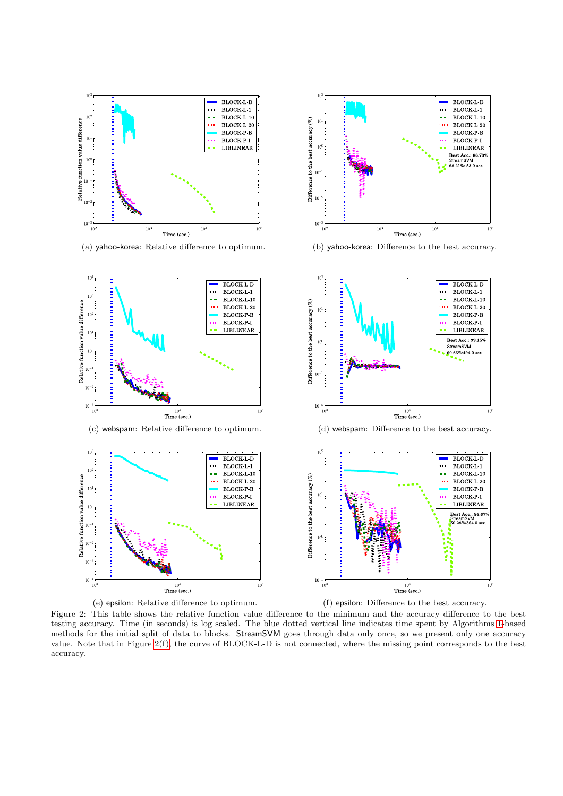<span id="page-6-0"></span>



<span id="page-6-2"></span>(a) yahoo-korea: Relative difference to optimum. (b) yahoo-korea: Difference to the best accuracy.





<span id="page-6-1"></span>

Figure 2: This table shows the relative function value difference to the minimum and the accuracy difference to the best testing accuracy. Time (in seconds) is log scaled. The blue dotted vertical line indicates time spent by Algorithms [1-](#page-1-3)based methods for the initial split of data to blocks. StreamSVM goes through data only once, so we present only one accuracy value. Note that in Figure [2\(f\),](#page-6-1) the curve of BLOCK-L-D is not connected, where the missing point corresponds to the best accuracy.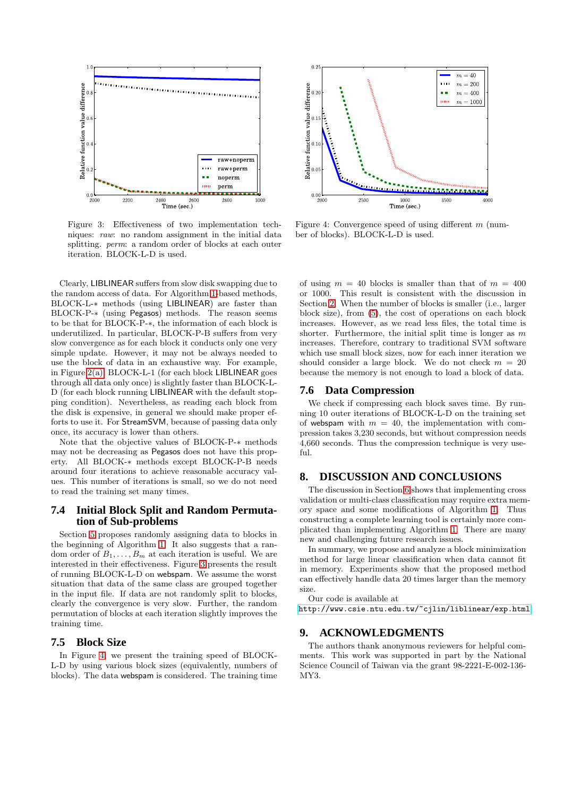<span id="page-7-1"></span>

Figure 3: Effectiveness of two implementation techniques: *raw*: no random assignment in the initial data splitting. *perm*: a random order of blocks at each outer iteration. BLOCK-L-D is used.

Clearly, LIBLINEAR suffers from slow disk swapping due to the random access of data. For Algorithm [1-](#page-1-3)based methods, BLOCK-L-∗ methods (using LIBLINEAR) are faster than BLOCK-P-∗ (using Pegasos) methods. The reason seems to be that for BLOCK-P-∗, the information of each block is underutilized. In particular, BLOCK-P-B suffers from very slow convergence as for each block it conducts only one very simple update. However, it may not be always needed to use the block of data in an exhaustive way. For example, in Figure [2\(a\),](#page-6-2) BLOCK-L-1 (for each block LIBLINEAR goes through all data only once) is slightly faster than BLOCK-L-D (for each block running LIBLINEAR with the default stopping condition). Nevertheless, as reading each block from the disk is expensive, in general we should make proper efforts to use it. For StreamSVM, because of passing data only once, its accuracy is lower than others.

Note that the objective values of BLOCK-P-∗ methods may not be decreasing as Pegasos does not have this property. All BLOCK-∗ methods except BLOCK-P-B needs around four iterations to achieve reasonable accuracy values. This number of iterations is small, so we do not need to read the training set many times.

## **7.4 Initial Block Split and Random Permutation of Sub-problems**

Section [5](#page-4-0) proposes randomly assigning data to blocks in the beginning of Algorithm [1.](#page-1-3) It also suggests that a random order of  $B_1, \ldots, B_m$  at each iteration is useful. We are interested in their effectiveness. Figure [3](#page-7-1) presents the result of running BLOCK-L-D on webspam. We assume the worst situation that data of the same class are grouped together in the input file. If data are not randomly split to blocks, clearly the convergence is very slow. Further, the random permutation of blocks at each iteration slightly improves the training time.

## **7.5 Block Size**

In Figure [4,](#page-7-1) we present the training speed of BLOCK-L-D by using various block sizes (equivalently, numbers of blocks). The data webspam is considered. The training time



Figure 4: Convergence speed of using different m (number of blocks). BLOCK-L-D is used.

of using  $m = 40$  blocks is smaller than that of  $m = 400$ or 1000. This result is consistent with the discussion in Section [2.](#page-1-0) When the number of blocks is smaller (i.e., larger block size), from [\(5\)](#page-2-8), the cost of operations on each block increases. However, as we read less files, the total time is shorter. Furthermore, the initial split time is longer as  $m$ increases. Therefore, contrary to traditional SVM software which use small block sizes, now for each inner iteration we should consider a large block. We do not check  $m = 20$ because the memory is not enough to load a block of data.

#### **7.6 Data Compression**

We check if compressing each block saves time. By running 10 outer iterations of BLOCK-L-D on the training set of webspam with  $m = 40$ , the implementation with compression takes 3,230 seconds, but without compression needs 4,660 seconds. Thus the compression technique is very useful.

#### <span id="page-7-0"></span>**8. DISCUSSION AND CONCLUSIONS**

The discussion in Section [6](#page-4-1) shows that implementing cross validation or multi-class classification may require extra memory space and some modifications of Algorithm [1.](#page-1-3) Thus constructing a complete learning tool is certainly more complicated than implementing Algorithm [1.](#page-1-3) There are many new and challenging future research issues.

In summary, we propose and analyze a block minimization method for large linear classification when data cannot fit in memory. Experiments show that the proposed method can effectively handle data 20 times larger than the memory size.

Our code is available at

<http://www.csie.ntu.edu.tw/~cjlin/liblinear/exp.html>

#### **9. ACKNOWLEDGMENTS**

The authors thank anonymous reviewers for helpful comments. This work was supported in part by the National Science Council of Taiwan via the grant 98-2221-E-002-136- MY3.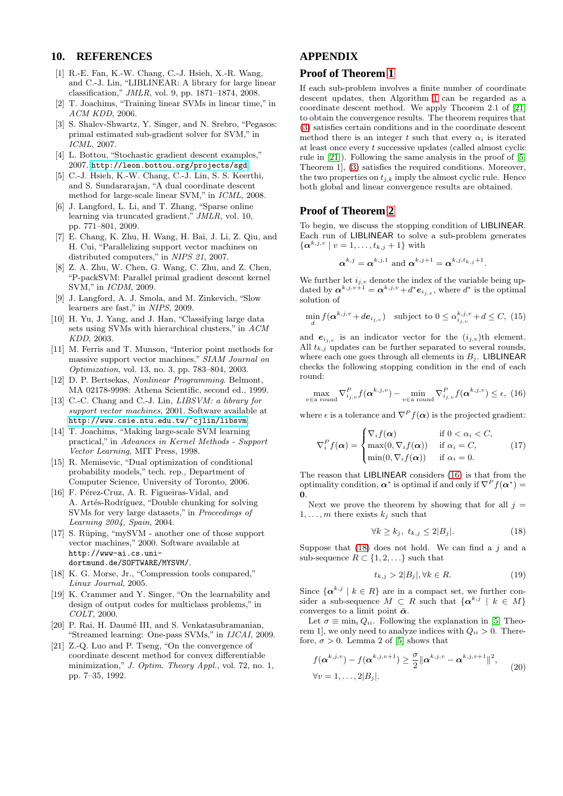## <span id="page-8-0"></span>**10. REFERENCES**

- [1] R.-E. Fan, K.-W. Chang, C.-J. Hsieh, X.-R. Wang, and C.-J. Lin, "LIBLINEAR: A library for large linear classification," *JMLR*, vol. 9, pp. 1871–1874, 2008.
- <span id="page-8-1"></span>[2] T. Joachims, "Training linear SVMs in linear time," in *ACM KDD*, 2006.
- <span id="page-8-2"></span>[3] S. Shalev-Shwartz, Y. Singer, and N. Srebro, "Pegasos: primal estimated sub-gradient solver for SVM," in *ICML*, 2007.
- <span id="page-8-3"></span>[4] L. Bottou, "Stochastic gradient descent examples," 2007. <http://leon.bottou.org/projects/sgd>.
- <span id="page-8-4"></span>[5] C.-J. Hsieh, K.-W. Chang, C.-J. Lin, S. S. Keerthi, and S. Sundararajan, "A dual coordinate descent method for large-scale linear SVM," in *ICML*, 2008.
- <span id="page-8-5"></span>[6] J. Langford, L. Li, and T. Zhang, "Sparse online learning via truncated gradient," *JMLR*, vol. 10, pp. 771–801, 2009.
- <span id="page-8-6"></span>[7] E. Chang, K. Zhu, H. Wang, H. Bai, J. Li, Z. Qiu, and H. Cui, "Parallelizing support vector machines on distributed computers," in *NIPS 21*, 2007.
- <span id="page-8-7"></span>[8] Z. A. Zhu, W. Chen, G. Wang, C. Zhu, and Z. Chen, "P-packSVM: Parallel primal gradient descent kernel SVM," in *ICDM*, 2009.
- <span id="page-8-8"></span>[9] J. Langford, A. J. Smola, and M. Zinkevich, "Slow learners are fast," in *NIPS*, 2009.
- <span id="page-8-9"></span>[10] H. Yu, J. Yang, and J. Han, "Classifying large data sets using SVMs with hierarchical clusters," in *ACM KDD*, 2003.
- <span id="page-8-10"></span>[11] M. Ferris and T. Munson, "Interior point methods for massive support vector machines," *SIAM Journal on Optimization*, vol. 13, no. 3, pp. 783–804, 2003.
- <span id="page-8-11"></span>[12] D. P. Bertsekas, *Nonlinear Programming*. Belmont, MA 02178-9998: Athena Scientific, second ed., 1999.
- <span id="page-8-12"></span>[13] C.-C. Chang and C.-J. Lin, *LIBSVM: a library for support vector machines*, 2001. Software available at <http://www.csie.ntu.edu.tw/~cjlin/libsvm>.
- <span id="page-8-13"></span>[14] T. Joachims, "Making large-scale SVM learning practical," in *Advances in Kernel Methods - Support Vector Learning*, MIT Press, 1998.
- <span id="page-8-14"></span>[15] R. Memisevic, "Dual optimization of conditional probability models," tech. rep., Department of Computer Science, University of Toronto, 2006.
- <span id="page-8-15"></span>[16] F. Pérez-Cruz, A. R. Figueiras-Vidal, and A. Artés-Rodríguez, "Double chunking for solving SVMs for very large datasets," in *Proceedings of Learning 2004, Spain*, 2004.
- <span id="page-8-16"></span> $[17]$  S. Rüping, "mySVM - another one of those support vector machines," 2000. Software available at http://www-ai.cs.unidortmund.de/SOFTWARE/MYSVM/.
- <span id="page-8-17"></span>[18] K. G. Morse, Jr., "Compression tools compared," *Linux Journal*, 2005.
- <span id="page-8-18"></span>[19] K. Crammer and Y. Singer, "On the learnability and design of output codes for multiclass problems," in *COLT*, 2000.
- <span id="page-8-19"></span>[20] P. Rai, H. Daumé III, and S. Venkatasubramanian, "Streamed learning: One-pass SVMs," in *IJCAI*, 2009.
- <span id="page-8-20"></span>[21] Z.-Q. Luo and P. Tseng, "On the convergence of coordinate descent method for convex differentiable minimization," *J. Optim. Theory Appl.*, vol. 72, no. 1, pp. 7–35, 1992.

# **APPENDIX**

# **Proof of Theorem [1](#page-3-1)**

If each sub-problem involves a finite number of coordinate descent updates, then Algorithm [1](#page-1-3) can be regarded as a coordinate descent method. We apply Theorem 2.1 of [\[21\]](#page-8-20) to obtain the convergence results. The theorem requires that [\(3\)](#page-1-4) satisfies certain conditions and in the coordinate descent method there is an integer t such that every  $\alpha_i$  is iterated at least once every t successive updates (called almost cyclic rule in [\[21\]](#page-8-20)). Following the same analysis in the proof of [\[5,](#page-8-4) Theorem 1], [\(3\)](#page-1-4) satisfies the required conditions. Moreover, the two properties on  $t_{i,k}$  imply the almost cyclic rule. Hence both global and linear convergence results are obtained.

#### **Proof of Theorem [2](#page-3-4)**

To begin, we discuss the stopping condition of **LIBLINEAR**. Each run of LIBLINEAR to solve a sub-problem generates  $\{\boldsymbol{\alpha}^{k,j,v} \mid v = 1, \ldots, t_{k,j} + 1\}$  with

$$
\boldsymbol{\alpha}^{k,j} = \boldsymbol{\alpha}^{k,j,1}
$$
 and  $\boldsymbol{\alpha}^{k,j+1} = \boldsymbol{\alpha}^{k,j,t_{k,j}+1}$ 

.

We further let  $i_{j,v}$  denote the index of the variable being updated by  $\boldsymbol{\alpha}^{k,j,v+1} = \boldsymbol{\alpha}^{k,j,v} + d^* \boldsymbol{e}_{i_j,v}$ , where  $d^*$  is the optimal solution of

<span id="page-8-24"></span>
$$
\min_{d} f(\boldsymbol{\alpha}^{k,j,v} + d\boldsymbol{e}_{i_j,v}) \quad \text{subject to } 0 \le \alpha_{i_j,v}^{k,j,v} + d \le C, \tag{15}
$$

and  $e_{i_j,v}$  is an indicator vector for the  $(i_{j,v})$ th element. All  $t_{k,j}$  updates can be further separated to several rounds, where each one goes through all elements in  $B_j$ . LIBLINEAR checks the following stopping condition in the end of each round:

<span id="page-8-21"></span>
$$
\max_{v \in \text{a round}} \nabla_{i_{j,v}}^P f(\boldsymbol{\alpha}^{k,j,v}) - \min_{v \in \text{a round}} \nabla_{i_{j,v}}^P f(\boldsymbol{\alpha}^{k,j,v}) \le \epsilon, \tag{16}
$$

where  $\epsilon$  is a tolerance and  $\nabla^P f(\boldsymbol{\alpha})$  is the projected gradient:

<span id="page-8-25"></span>
$$
\nabla_i^P f(\boldsymbol{\alpha}) = \begin{cases}\n\nabla_i f(\boldsymbol{\alpha}) & \text{if } 0 < \alpha_i < C, \\
\max(0, \nabla_i f(\boldsymbol{\alpha})) & \text{if } \alpha_i = C, \\
\min(0, \nabla_i f(\boldsymbol{\alpha})) & \text{if } \alpha_i = 0.\n\end{cases}
$$
(17)

The reason that LIBLINEAR considers [\(16\)](#page-8-21) is that from the optimality condition,  $\alpha^*$  is optimal if and only if  $\nabla^P f(\alpha^*) =$ 0.

Next we prove the theorem by showing that for all  $j =$  $1, \ldots, m$  there exists  $k_i$  such that

<span id="page-8-22"></span>
$$
\forall k \ge k_j, t_{k,j} \le 2|B_j|.
$$
 (18)

Suppose that  $(18)$  does not hold. We can find a j and a sub-sequence  $R \subset \{1, 2, \ldots\}$  such that

<span id="page-8-26"></span>
$$
t_{k,j} > 2|B_j|, \forall k \in R. \tag{19}
$$

Since  $\{\boldsymbol{\alpha}^{k,j} \mid k \in R\}$  are in a compact set, we further consider a sub-sequence  $M \subset R$  such that  $\{\boldsymbol{\alpha}^{k,j} \mid k \in M\}$ converges to a limit point  $\bar{\boldsymbol{\alpha}}$ .

Let  $\sigma \equiv \min_i Q_{ii}$ . Following the explanation in [\[5,](#page-8-4) Theorem 1, we only need to analyze indices with  $Q_{ii} > 0$ . Therefore,  $\sigma > 0$ . Lemma 2 of [\[5\]](#page-8-4) shows that

<span id="page-8-23"></span>
$$
f(\boldsymbol{\alpha}^{k,j,v}) - f(\boldsymbol{\alpha}^{k,j,v+1}) \geq \frac{\sigma}{2} ||\boldsymbol{\alpha}^{k,j,v} - \boldsymbol{\alpha}^{k,j,v+1}||^2,
$$
  
\n
$$
\forall v = 1,\ldots,2|B_j|.
$$
 (20)